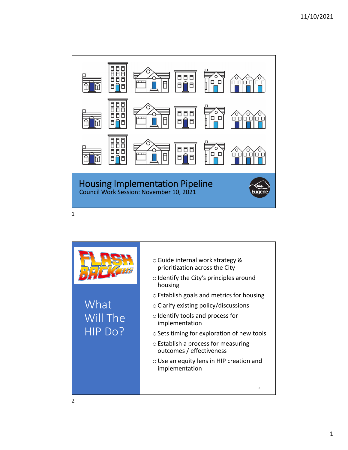

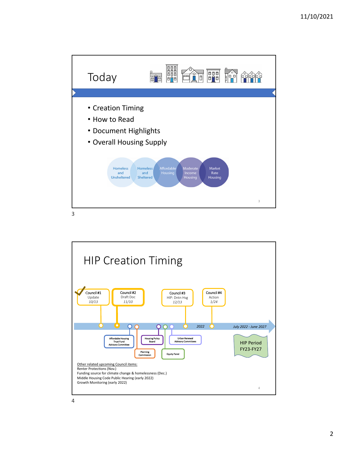

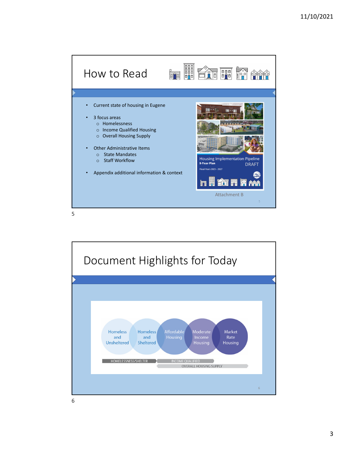





6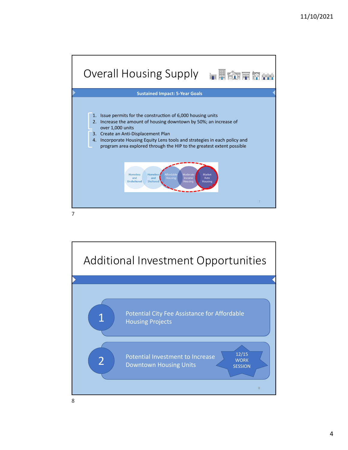



8